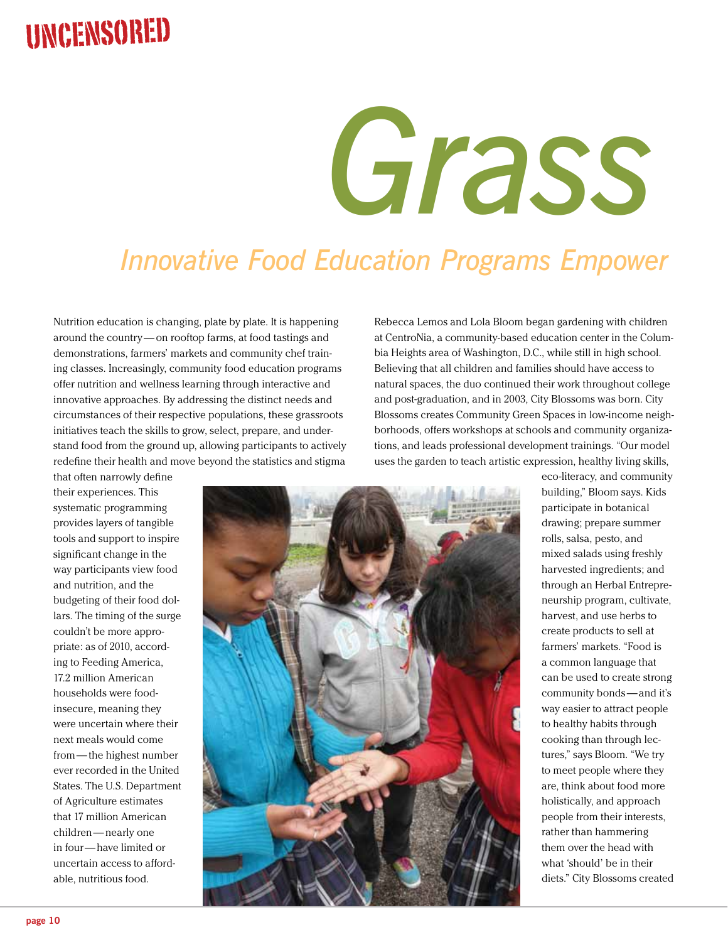## Uncensored

# *Grass Roots*

## **Innovative Food Education Programs Empower**

Nutrition education is changing, plate by plate. It is happening around the country— on rooftop farms, at food tastings and demonstrations, farmers' markets and community chef training classes. Increasingly, community food education programs offer nutrition and wellness learning through interactive and innovative approaches. By addressing the distinct needs and circumstances of their respective populations, these grassroots initiatives teach the skills to grow, select, prepare, and understand food from the ground up, allowing participants to actively redefine their health and move beyond the statistics and stigma

Rebecca Lemos and Lola Bloom began gardening with children at CentroNia, a community-based education center in the Columbia Heights area of Washington, D.C., while still in high school. Believing that all children and families should have access to natural spaces, the duo continued their work throughout college and post-graduation, and in 2003, City Blossoms was born. City Blossoms creates Community Green Spaces in low-income neighborhoods, offers workshops at schools and community organizations, and leads professional development trainings. "Our model uses the garden to teach artistic expression, healthy living skills,

that often narrowly define their experiences. This systematic programming provides layers of tangible tools and support to inspire significant change in the way participants view food and nutrition, and the budgeting of their food dollars. The timing of the surge couldn't be more appropriate: as of 2010, according to Feeding America, 17.2 million American households were foodinsecure, meaning they were uncertain where their next meals would come from— the highest number ever recorded in the United States. The U.S. Department of Agriculture estimates that 17 million American children—nearly one in four— have limited or uncertain access to affordable, nutritious food.



eco-literacy, and community building," Bloom says. Kids participate in botanical drawing; prepare summer rolls, salsa, pesto, and mixed salads using freshly harvested ingredients; and through an Herbal Entrepreneurship program, cultivate, harvest, and use herbs to create products to sell at farmers' markets. "Food is a common language that can be used to create strong community bonds — and it's way easier to attract people to healthy habits through cooking than through lectures," says Bloom. "We try to meet people where they are, think about food more holistically, and approach people from their interests, rather than hammering them over the head with what 'should' be in their diets." City Blossoms created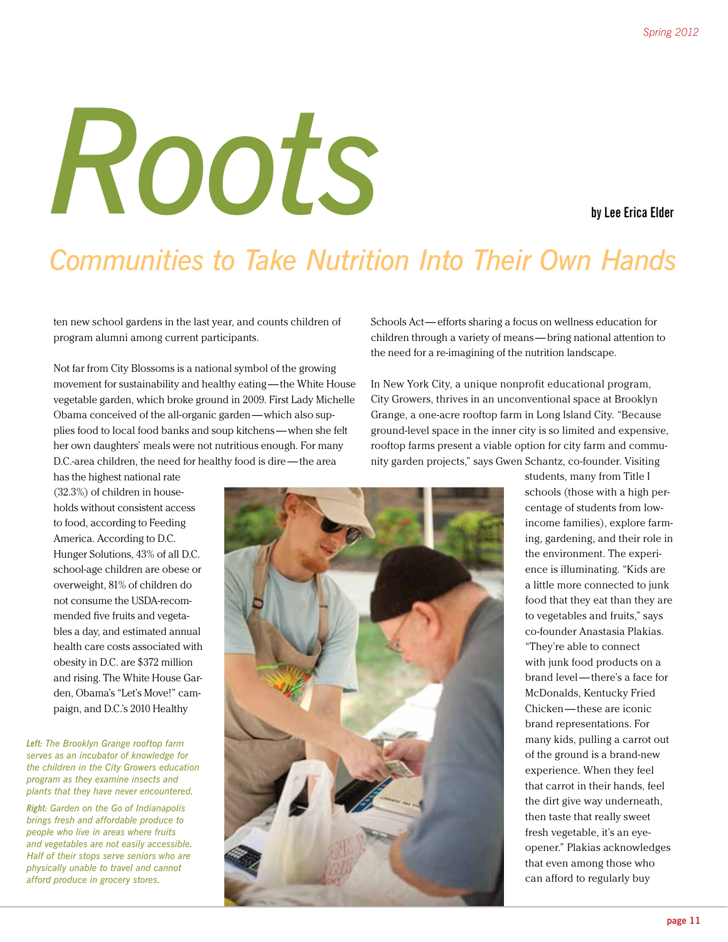# *Roots* **by Lee Erica Elder**

## **Communities to Take Nutrition Into Their Own Hands**

ten new school gardens in the last year, and counts children of program alumni among current participants.

Not far from City Blossoms is a national symbol of the growing movement for sustainability and healthy eating — the White House vegetable garden, which broke ground in 2009. First Lady Michelle Obama conceived of the all-organic garden—which also supplies food to local food banks and soup kitchens —when she felt her own daughters' meals were not nutritious enough. For many D.C.-area children, the need for healthy food is dire — the area

has the highest national rate (32.3%) of children in households without consistent access to food, according to Feeding America. According to D.C. Hunger Solutions, 43% of all D.C. school-age children are obese or overweight, 81% of children do not consume the USDA-recommended five fruits and vegetables a day, and estimated annual health care costs associated with obesity in D.C. are \$372 million and rising. The White House Garden, Obama's "Let's Move!" campaign, and D.C.'s 2010 Healthy

*Left: The Brooklyn Grange rooftop farm serves as an incubator of knowledge for the children in the City Growers education program as they examine insects and plants that they have never encountered.*

*Right: Garden on the Go of Indianapolis brings fresh and affordable produce to people who live in areas where fruits and vegetables are not easily accessible. Half of their stops serve seniors who are physically unable to travel and cannot afford produce in grocery stores.*

Schools Act— efforts sharing a focus on wellness education for children through a variety of means — bring national attention to the need for a re-imagining of the nutrition landscape.

In New York City, a unique nonprofit educational program, City Growers, thrives in an unconventional space at Brooklyn Grange, a one-acre rooftop farm in Long Island City. "Because ground-level space in the inner city is so limited and expensive, rooftop farms present a viable option for city farm and community garden projects," says Gwen Schantz, co-founder. Visiting

> students, many from Title I schools (those with a high percentage of students from lowincome families), explore farming, gardening, and their role in the environment. The experience is illuminating. "Kids are a little more connected to junk food that they eat than they are to vegetables and fruits," says co-founder Anastasia Plakias. "They're able to connect with junk food products on a brand level— there's a face for McDonalds, Kentucky Fried Chicken— these are iconic brand representations. For many kids, pulling a carrot out of the ground is a brand-new experience. When they feel that carrot in their hands, feel the dirt give way underneath, then taste that really sweet fresh vegetable, it's an eyeopener." Plakias acknowledges that even among those who can afford to regularly buy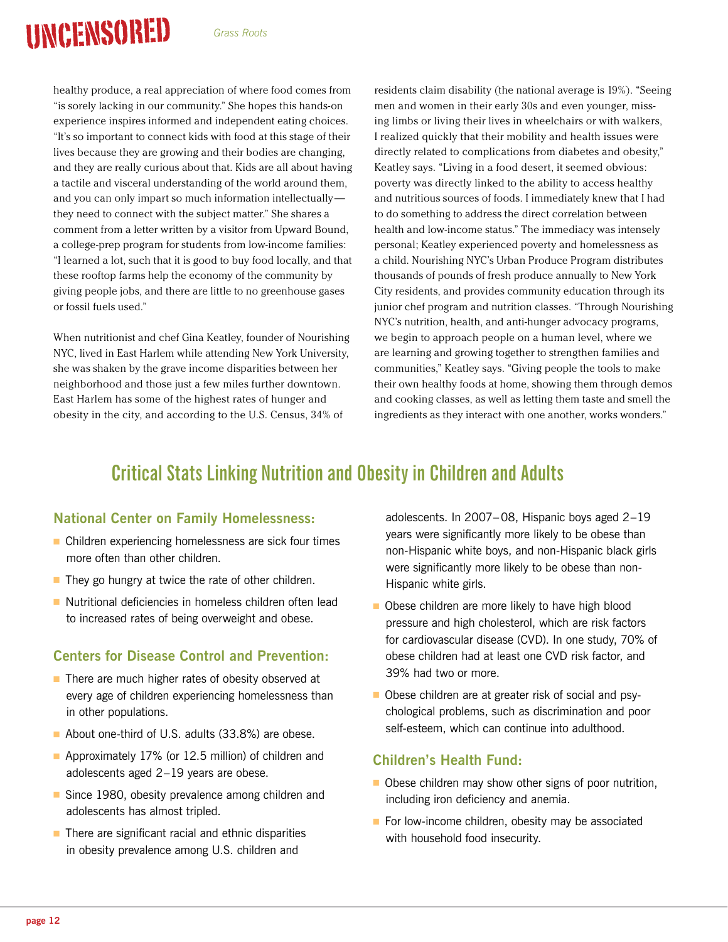# Uncensored

healthy produce, a real appreciation of where food comes from "is sorely lacking in our community." She hopes this hands-on experience inspires informed and independent eating choices. "It's so important to connect kids with food at this stage of their lives because they are growing and their bodies are changing, and they are really curious about that. Kids are all about having a tactile and visceral understanding of the world around them, and you can only impart so much information intellectually they need to connect with the subject matter." She shares a comment from a letter written by a visitor from Upward Bound, a college-prep program for students from low-income families: "I learned a lot, such that it is good to buy food locally, and that these rooftop farms help the economy of the community by giving people jobs, and there are little to no greenhouse gases or fossil fuels used."

When nutritionist and chef Gina Keatley, founder of Nourishing NYC, lived in East Harlem while attending New York University, she was shaken by the grave income disparities between her neighborhood and those just a few miles further downtown. East Harlem has some of the highest rates of hunger and obesity in the city, and according to the U.S. Census, 34% of

residents claim disability (the national average is 19%). "Seeing men and women in their early 30s and even younger, missing limbs or living their lives in wheelchairs or with walkers, I realized quickly that their mobility and health issues were directly related to complications from diabetes and obesity," Keatley says. "Living in a food desert, it seemed obvious: poverty was directly linked to the ability to access healthy and nutritious sources of foods. I immediately knew that I had to do something to address the direct correlation between health and low-income status." The immediacy was intensely personal; Keatley experienced poverty and homelessness as a child. Nourishing NYC's Urban Produce Program distributes thousands of pounds of fresh produce annually to New York City residents, and provides community education through its junior chef program and nutrition classes. "Through Nourishing NYC's nutrition, health, and anti-hunger advocacy programs, we begin to approach people on a human level, where we are learning and growing together to strengthen families and communities," Keatley says. "Giving people the tools to make their own healthy foods at home, showing them through demos and cooking classes, as well as letting them taste and smell the ingredients as they interact with one another, works wonders."

### **Critical Stats Linking Nutrition and Obesity in Children and Adults**

### **National Center on Family Homelessness:**

- Children experiencing homelessness are sick four times more often than other children.
- They go hungry at twice the rate of other children.
- Nutritional deficiencies in homeless children often lead to increased rates of being overweight and obese.

### **Centers for Disease Control and Prevention:**

- There are much higher rates of obesity observed at every age of children experiencing homelessness than in other populations.
- About one-third of U.S. adults (33.8%) are obese.
- Approximately 17% (or 12.5 million) of children and adolescents aged 2–19 years are obese.
- Since 1980, obesity prevalence among children and adolescents has almost tripled.
- There are significant racial and ethnic disparities in obesity prevalence among U.S. children and

adolescents. In 2007–08, Hispanic boys aged 2–19 years were significantly more likely to be obese than non-Hispanic white boys, and non-Hispanic black girls were significantly more likely to be obese than non-Hispanic white girls.

- Obese children are more likely to have high blood pressure and high cholesterol, which are risk factors for cardiovascular disease (CVD). In one study, 70% of obese children had at least one CVD risk factor, and 39% had two or more.
- Obese children are at greater risk of social and psychological problems, such as discrimination and poor self-esteem, which can continue into adulthood.

### **Children's Health Fund:**

- Obese children may show other signs of poor nutrition, including iron deficiency and anemia.
- For low-income children, obesity may be associated with household food insecurity.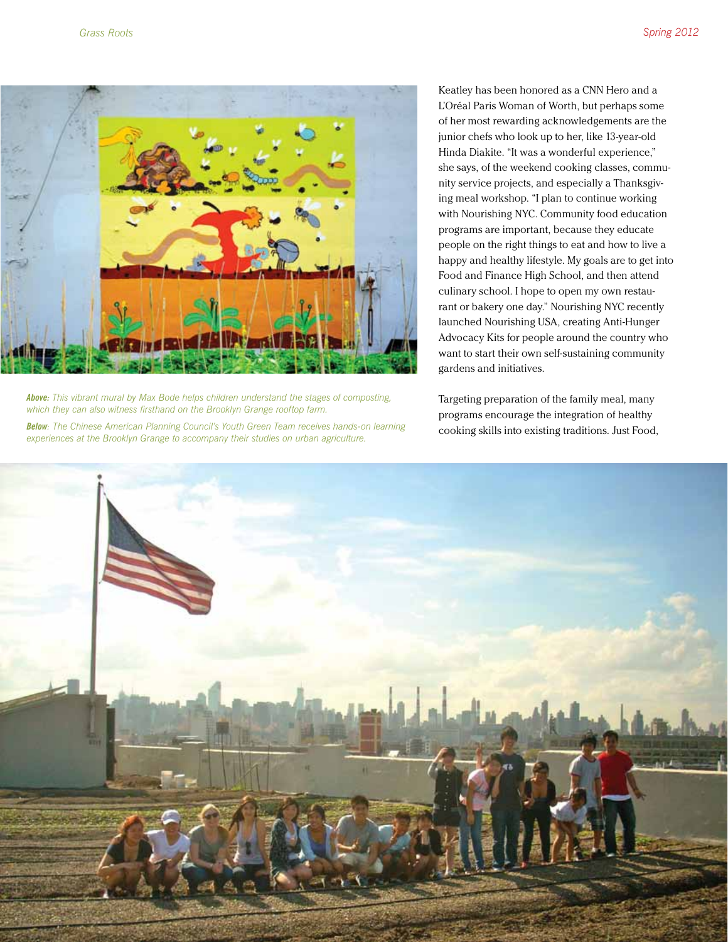

*Above: This vibrant mural by Max Bode helps children understand the stages of composting, which they can also witness firsthand on the Brooklyn Grange rooftop farm. Below: The Chinese American Planning Council's Youth Green Team receives hands-on learning* 

*experiences at the Brooklyn Grange to accompany their studies on urban agriculture.*

Keatley has been honored as a CNN Hero and a L'Oréal Paris Woman of Worth, but perhaps some of her most rewarding acknowledgements are the junior chefs who look up to her, like 13-year-old Hinda Diakite. "It was a wonderful experience," she says, of the weekend cooking classes, community service projects, and especially a Thanksgiving meal workshop. "I plan to continue working with Nourishing NYC. Community food education programs are important, because they educate people on the right things to eat and how to live a happy and healthy lifestyle. My goals are to get into Food and Finance High School, and then attend culinary school. I hope to open my own restaurant or bakery one day." Nourishing NYC recently launched Nourishing USA, creating Anti-Hunger Advocacy Kits for people around the country who want to start their own self-sustaining community gardens and initiatives.

Targeting preparation of the family meal, many programs encourage the integration of healthy cooking skills into existing traditions. Just Food,

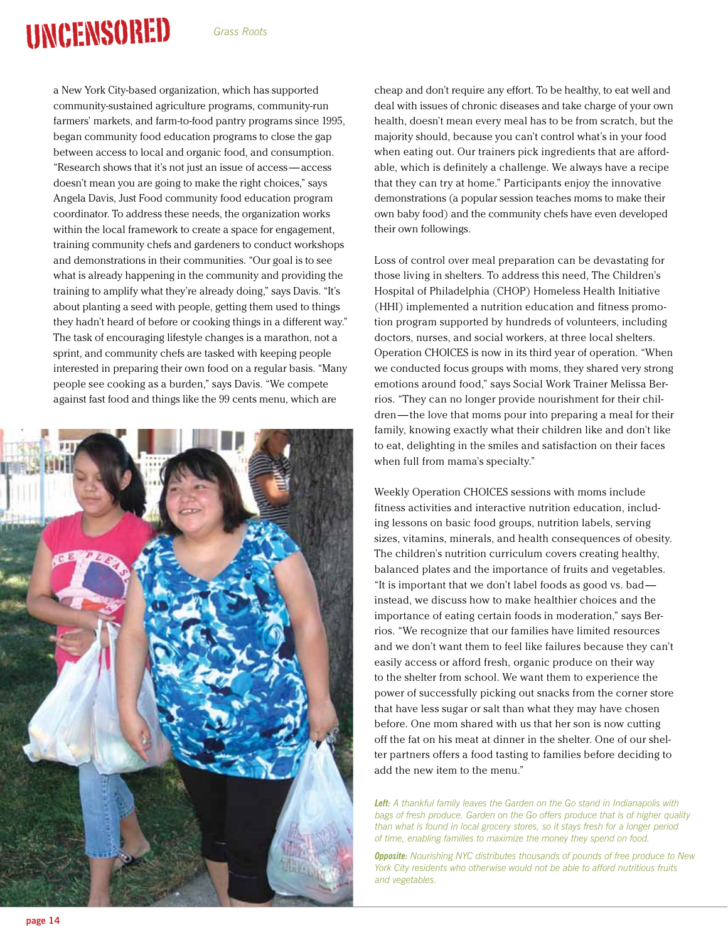# **UNCENSORED**

a New York City-based organization, which has supported community-sustained agriculture programs, community-run farmers' markets, and farm-to-food pantry programs since 1995, began community food education programs to close the gap between access to local and organic food, and consumption. "Research shows that it's not just an issue of access — access doesn't mean you are going to make the right choices," says Angela Davis, Just Food community food education program coordinator. To address these needs, the organization works within the local framework to create a space for engagement, training community chefs and gardeners to conduct workshops and demonstrations in their communities. "Our goal is to see what is already happening in the community and providing the training to amplify what they're already doing," says Davis. "It's about planting a seed with people, getting them used to things they hadn't heard of before or cooking things in a different way." The task of encouraging lifestyle changes is a marathon, not a sprint, and community chefs are tasked with keeping people interested in preparing their own food on a regular basis. "Many people see cooking as a burden," says Davis. "We compete against fast food and things like the 99 cents menu, which are



cheap and don't require any effort. To be healthy, to eat well and deal with issues of chronic diseases and take charge of your own health, doesn't mean every meal has to be from scratch, but the majority should, because you can't control what's in your food when eating out. Our trainers pick ingredients that are affordable, which is definitely a challenge. We always have a recipe that they can try at home." Participants enjoy the innovative demonstrations (a popular session teaches moms to make their own baby food) and the community chefs have even developed their own followings.

Loss of control over meal preparation can be devastating for those living in shelters. To address this need, The Children's Hospital of Philadelphia (CHOP) Homeless Health Initiative (HHI) implemented a nutrition education and fitness promotion program supported by hundreds of volunteers, including doctors, nurses, and social workers, at three local shelters. Operation CHOICES is now in its third year of operation. "When we conducted focus groups with moms, they shared very strong emotions around food," says Social Work Trainer Melissa Berrios. "They can no longer provide nourishment for their children— the love that moms pour into preparing a meal for their family, knowing exactly what their children like and don't like to eat, delighting in the smiles and satisfaction on their faces when full from mama's specialty."

Weekly Operation CHOICES sessions with moms include fitness activities and interactive nutrition education, including lessons on basic food groups, nutrition labels, serving sizes, vitamins, minerals, and health consequences of obesity. The children's nutrition curriculum covers creating healthy, balanced plates and the importance of fruits and vegetables. "It is important that we don't label foods as good vs. bad instead, we discuss how to make healthier choices and the importance of eating certain foods in moderation," says Berrios. "We recognize that our families have limited resources and we don't want them to feel like failures because they can't easily access or afford fresh, organic produce on their way to the shelter from school. We want them to experience the power of successfully picking out snacks from the corner store that have less sugar or salt than what they may have chosen before. One mom shared with us that her son is now cutting off the fat on his meat at dinner in the shelter. One of our shelter partners offers a food tasting to families before deciding to add the new item to the menu."

*Left: A thankful family leaves the Garden on the Go stand in Indianapolis with bags of fresh produce. Garden on the Go offers produce that is of higher quality than what is found in local grocery stores, so it stays fresh for a longer period of time, enabling families to maximize the money they spend on food.* 

*Opposite: Nourishing NYC distributes thousands of pounds of free produce to New York City residents who otherwise would not be able to afford nutritious fruits and vegetables.*